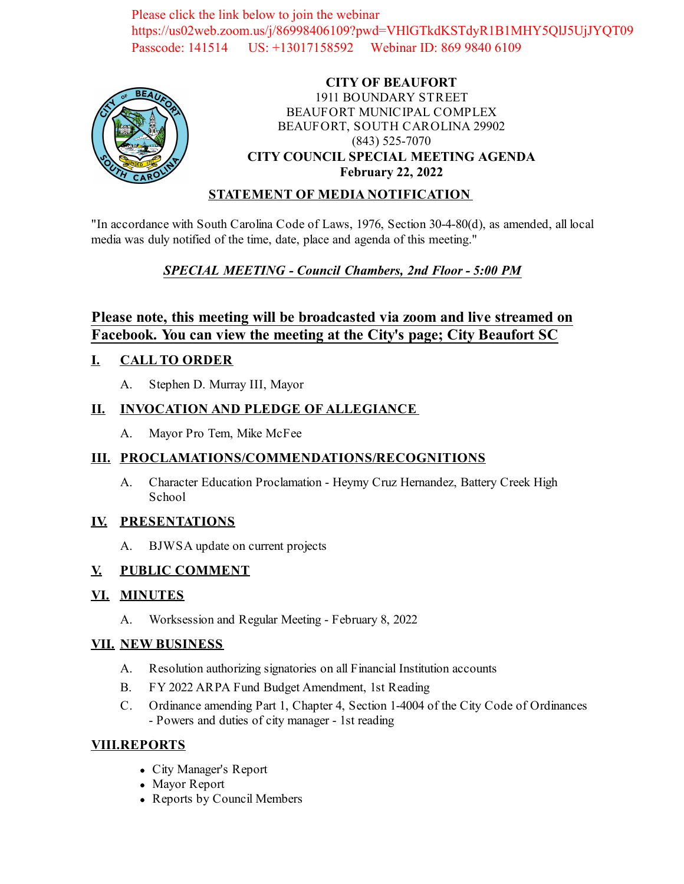Please click the link below to join the webinar https://us02web.zoom.us/j/86998406109?pwd=VHlGTkdKSTdyR1B1MHY5QlJ5UjJYQT09 Passcode: 141514 US: +13017158592 Webinar ID: 869 9840 6109



### **CITY OF BEAUFORT** 1911 BOUNDARY STREET BEAUFORT MUNICIPAL COMPLEX BEAUFORT, SOUTH CAROLINA 29902 (843) 525-7070 **CITY COUNCIL SPECIAL MEETING AGENDA February 22, 2022**

### **STATEMENT OF MEDIA NOTIFICATION**

"In accordance with South Carolina Code of Laws, 1976, Section 30-4-80(d), as amended, all local media was duly notified of the time, date, place and agenda of this meeting."

## *SPECIAL MEETING - Council Chambers, 2nd Floor - 5:00 PM*

## **Please note, this meeting will be broadcasted via zoom and live streamed on Facebook. You can view the meeting at the City's page; City Beaufort SC**

### **I. CALL TO ORDER**

A. Stephen D. Murray III, Mayor

### **II. INVOCATION AND PLEDGE OF ALLEGIANCE**

A. Mayor Pro Tem, Mike McFee

### **III. PROCLAMATIONS/COMMENDATIONS/RECOGNITIONS**

A. Character Education Proclamation - Heymy Cruz Hernandez, Battery Creek High School

#### **IV. PRESENTATIONS**

A. [BJWSA update on current projects](file:///C:/Windows/TEMP/CoverSheet.aspx?ItemID=2432&MeetingID=348)

### **V. PUBLIC COMMENT**

### **VI. MINUTES**

A. Worksession and Regular Meeting - February 8, 2022

#### **VII. NEW BUSINESS**

- A. [Resolution authorizing signatories on all Financial Institution accounts](file:///C:/Windows/TEMP/CoverSheet.aspx?ItemID=2427&MeetingID=348)
- B. [FY 2022 ARPA Fund Budget Amendment, 1st Reading](file:///C:/Windows/TEMP/CoverSheet.aspx?ItemID=2431&MeetingID=348)
- C. [Ordinance amending Part 1, Chapter 4, Section 1-4004 of the City Code of Ordinances](file:///C:/Windows/TEMP/CoverSheet.aspx?ItemID=2433&MeetingID=348) - Powers and duties of city manager - 1st reading

### **VIII.REPORTS**

- City Manager's Report
- Mayor Report
- Reports by Council Members